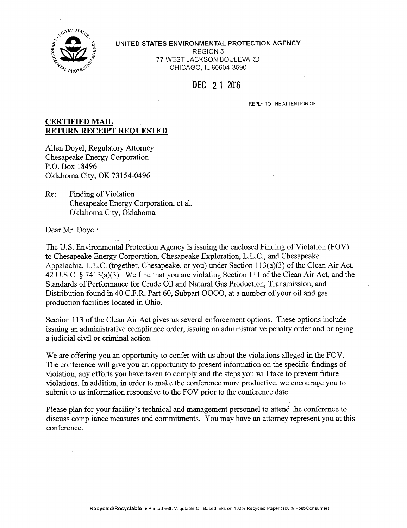

# **2 COM** is UNITED STATES ENVIRONMENTAL PROTECTION AGENCY **EVALUATED STATES ENVIRONMENTAL**<br>
FOR THE STATES ENVIRONMENTAL<br>
TO TATES ENVIRONMENTAL<br>
REGION 5<br>
TO TATES TACKSON BOTH ACKSON BOTH ACKSON BOTH ACKSON BOTH ACKSON BOTH ACKSON BOTH ACKSON BOTH AND THE STATES ENVIRONMENTAL REGION 5<br>77 WEST JACKSON BOULEVARD % CHICAGO, IL 60604-3590

## DEC 21 2016

REPLY TO THE ATTENTION OF:

## **CERTIFIED MAIL RETURN RECEIPT REQUESTED**

Allen Doyel, Regulatory Attorney Chesapeake Energy Corporation P.O. Box 18496 Oklahoma City, OK 73154-0496

Re: Finding of Violation Chesapeake Energy Corporation, et al. Oklahoma City, Oklahoma

Dear Mr. Doyel:

The U.S. Environmental Protection Agency is issuing the enclosed Finding of Violation (FOV) to Chesapeake Energy Corporation, Chesapeake Exploration, L.L.C., and Chesapeake Appalachia, L.L.C. (together, Chesapeake, or you) under Section 113(a)(3) of the Clean Air Act, 42 U.S.C.  $\frac{5}{413(a)(3)}$ . We find that you are violating Section 111 of the Clean Air Act, and the Standards of Performance for Crude Oil and Natural Gas Production, Transmission, and Distribution found in 40 C.F.R. Part 60, Subpart 0000, at a number of your oil and gas production facilities located in Ohio.

Section 113 of the Clean Air Act gives us several enforcement options. These options include issuing an administrative compliance order, issuing an administrative penalty order and bringing a judicial civil or criminal action.

We are offering you an opportunity to confer with us about the violations alleged in the FOV. The conference will give you an opportunity to present information on the specific findings of violation, any efforts you have taken to comply and the steps you will take to prevent future violations. In addition, in order to make the conference more productive, we encourage you to submit to us information responsive to the FOV prior to the conference date.

Please plan for your facility's technical and management personnel to attend the conference to discuss compliance measures and commitments. You may have an attorney represent you at this conference.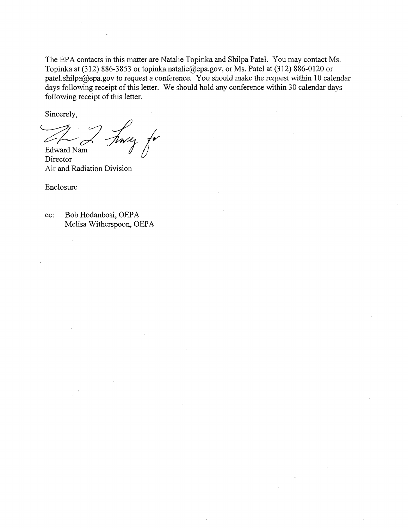The EPA contacts in this matter arc Natalie Topinka and Shilpa Patcl. You may contact Ms. Topinka at (312) 886-3853 or [topinka.natalic@cpa.gov,](mailto:topinka.natalic@cpa.gov) or Ms. Patcl at (312) 886-0120 or patcl.shilpa@epa.gov to request a conference. You should make the request within 10 calendar days following receipt of this letter. We should hold any conference within 30 calendar days following receipt of this letter.

Sincerely,

Finey for 4 Edward Nam

Director Air and Radiation Division

Enclosure

cc: Bob Hodanbosi, OEPA Melisa Witherspoon, OEPA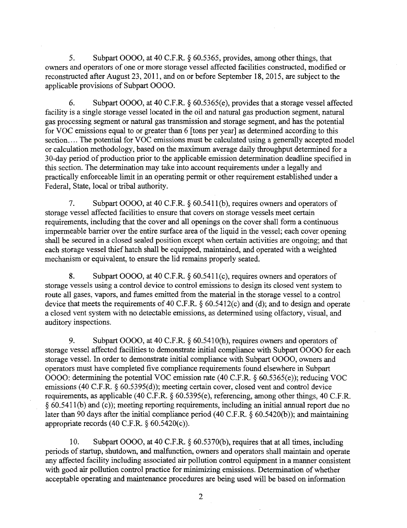5. Subpart OOOO, at 40 C.F.R. § 60.5365, provides, among other things, that owners and operators of one or more storage vessel affected facilities constructed, modified or reconstructed after August 23, 2011, and on or before September 18, 2015, are subject to the applicable provisions of Subpart 0000.

6. Subpart 0000, at 40 C.F.R. § 60.5365(e), provides that a storage vessel affected facility is a single storage vessel located in the oil and natural gas production segment, natural gas processing segment or natural gas transmission and storage segment, and has the potential for VOC emissions equal to or greater than 6 [tons per year] as determined according to this section.... The potential for VOC emissions must be calculated using a generally accepted model or calculation methodology, based on the maximum average daily throughput determined for a 30-day period of production prior to the applicable emission determination deadline specified in this section. The determination may take into account requirements under a legally and practically enforceable limit in an operating permit or other requirement established under a Federal, State, local or tribal authority.

7. Subpart 0000, at 40 C.F.R. § 60.5411(b), requires owners and operators of storage vessel affected facilities to ensure that covers on storage vessels meet certain requirements, including that the cover and all openings on the cover shall form a continuous impermeable barrier over the entire surface area of the liquid in the vessel; each cover opening shdl be secured in a closed sealed position except when certain activities are ongoing; and that each storage vessel thief hatch shall be equipped, maintained, and operated with a weighted mechanism or equivalent, to ensure the lid remains properly seated.

8. Subpart 0000, at 40 C.F.R. § 60.5411(c), requires owners and operators of storage vessels using a control device to control emissions to design its closed vent system to route all gases, vapors, and fumes emitted from the material in the storage vessel to a control device that meets the requirements of 40 C.F.R. § 60.5412(c) and (d); and to design and operate a closed vent system with no detectable emissions, as determined using olfactory, visual, and auditory inspections.

9. Subpart 0000, at 40 C.F.R. § 60.5410(h), requires owners and operators of storage vessel affected facilities to demonstrate initial compliance with Subpart OOOO for each storage vessel. In order to demonstrate initial compliance with Subpart OOOO, owners and operators must have completed five compliance requirements found elsewhere in Subpart OOOO: determining the potential VOC emission rate (40 C.F.R. § 60.5365(e)); reducing VOC emissions (40 C.F.R. § 60.5395(d)); meeting certain cover, closed vent and control device requirements, as applicable (40 C.F.R. § 60.5395(e), referencing, among other things, 40 C.F.R. § 60.5411(b) and (c)); meeting reporting requirements, including an initial annual report due no later than 90 days after the initial compliance period (40 C.F.R. § 60.5420(b)); and maintaining appropriate records (40 C.F.R. § 60.5420(c)).

10. Subpart OOOO, at 40 C.F.R. § 60.5370(b), requires that at all times, including periods of startup, shutdown, and malftmction, owners and operators shall maintain and operate any affected facility including associated air pollution control equipment in a manner consistent with good air pollution control practice for minimizing emissions. Determination of whether acceptable operating and maintenance procedures are being used will be based on information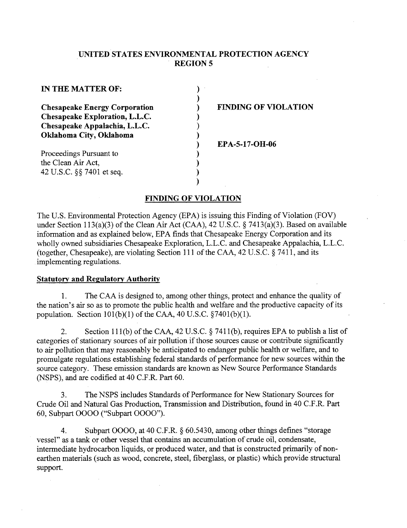## **UNITED STATES ENVIRONMENTAL PROTECTION AGENCY REGION 5**

| IN THE MATTER OF:                    |  |  |  |  |
|--------------------------------------|--|--|--|--|
|                                      |  |  |  |  |
| <b>Chesapeake Energy Corporation</b> |  |  |  |  |
| Chesapeake Exploration, L.L.C.       |  |  |  |  |
| Chesapeake Appalachia, L.L.C.        |  |  |  |  |
| Oklahoma City, Oklahoma              |  |  |  |  |
|                                      |  |  |  |  |
| Proceedings Pursuant to              |  |  |  |  |
| the Clean Air Act,                   |  |  |  |  |
| 42 U.S.C. §§ 7401 et seq.            |  |  |  |  |

## **FINDING OF VIOLATION**

**EPA-5-17-OH-06** 

### **FINDING OF VIOLATION**

 $\mathcal{E}$ 

The U.S. Environmental Protection Agency (EPA) is issuing this Finding of Violation (FOV) under Section 113(a)(3) of the Clean Air Act (CAA), 42 U.S.C. § 7413(a)(3). Based on available information and as explained below, EPA finds that Chesapeake Energy Corporation and its wholly owned subsidiaries Chesapeake Exploration, L.L.C. and Chesapeake Appalachia, L.L.C. (together, Chesapeake), are violating Section 111 of the CAA, 42 U.S.C. § 7411, and its implementing regulations.

#### **Statutory and Regulatory Authority**

1. The CAA is designed to, among other things, protect and enhance the quality of the nation's air so as to promote the public health and welfare and the productive capacity of its population. Section  $101(b)(1)$  of the CAA,  $40$  U.S.C.  $\S 7401(b)(1)$ .

2. Section 111(b) of the CAA, 42 U.S.C. § 7411(b), requires EPA to publish a list of categories of stationary sources of air pollution if those sources cause or contribute significantly to air pollution that may reasonably be anticipated to endanger public health or welfare, and to promulgate regulations establishing federal standards of performance for new sources within the source category. These emission standards are known as New Source Performance Standards (NSPS), and are codified at 40 C.F.R. Part 60.

3. The NSPS includes Standards of Performance for New Stationary Sources for Crude Oil and Natural Gas Production, Transmission and Distribution, found in 40 C.F.R. Part 60, Subpart 0000 ("Subpart 0000").

4. Subpart 0000, at 40 C.F.R. § 60.5430, among other things defines "storage vessel" as a tank or other vessel that contains an accumulation of crude oil, condensate, intermediate hydrocarbon liquids, or produced water, and that is constructed primarily of nonearthen materials (such as wood, concrete, steel, fiberglass, or plastic) which provide structural support.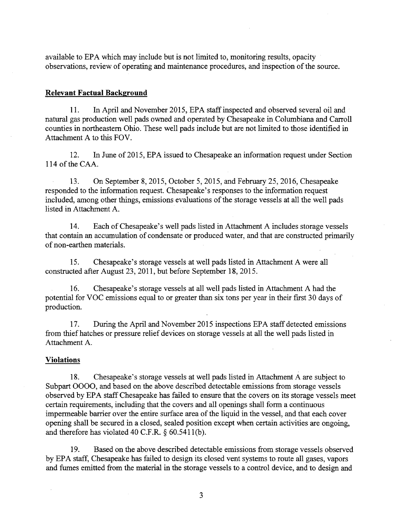available to EPA which may include but is not limited to, monitoring results, opacity observations, review of operating and maintenance procedures, and inspection of the source.

## **Relevant Factual Background**

11. In April and November 2015, EPA staff inspected and observed several oil and natural gas production well pads owned and operated by Chesapeake in Columbiana and Carroll counties in northeastern Ohio. These well pads include but are not limited to those identified in Attachment A to this FOV.

12. In June of 2015, EPA issued to Chesapeake an information request under Section 114 of the CAA.

13. On September 8, 2015, October 5, 2015, and February 25, 2016, Chesapeake responded to the information request. Chesapeake's responses to the information request included, among other things, emissions evaluations of the storage vessels at all the well pads listed in Attachment A.

14. Each of Chesapeake's well pads listed in Attachment A includes storage vessels that contain an accumulation of condensate or produced water, and that are constructed primarily of non-earthen materials.

15. Chesapeake's storage vessels at well pads listed in Attachment A were all constructed after August 23, 2011, but before September 18, 2015.

16. Chesapeake's storage vessels at all well pads listed in Attachment A had the potential for VOC emissions equal to or greater than six tons per year in their first 30 days of production.

17. During the April and November 2015 inspections EPA staff detected emissions from thief hatches or pressure relief devices on storage vessels at all the well pads listed in Attachment A.

## **Violations**

18. Chesapeake's storage vessels at well pads listed in Attachment A are subject to Subpart 0000, and based on the above described detectable emissions from storage vessels observed by EPA staff Chesapeake has failed to ensure that the covers on its storage vessels meet certain requirements, including that the covers and all openings shall form a continuous impermeable barrier over the entire surface area of the liquid in the vessel, and that each cover opening shall be secured in a closed, sealed position except when certain activities are ongoing, and therefore has violated 40 C.F.R. § 60.5411(b).

19. Based on the above described detectable emissions from storage vessels observed by EPA staff, Chesapeake has failed to design its closed vent systems to route all gases, vapors and fumes emitted from the material in the storage vessels to a control device, and to design and

3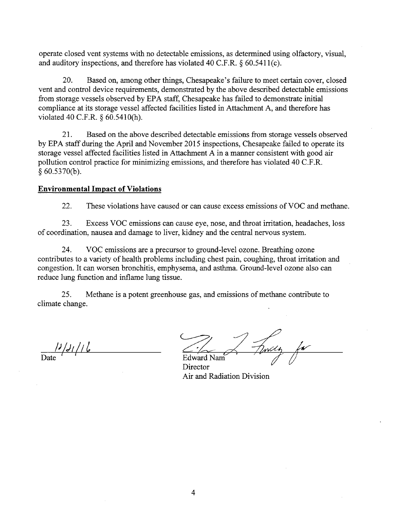operate closed vent systems with no detectable emissions, as determined using olfactory, visual, and auditory inspections, and therefore has violated 40 C.F.R.  $\delta$  60.5411(c).

20. Based on, among other things, Chesapeake's failure to meet certain cover, closed vent and control device requirements, demonstrated by the above described detectable emissions from storage vessels observed by EPA staff, Chesapeake has failed to demonstrate initial compliance at its storage vessel affected facilities listed in Attachment A, and therefore has violated 40 C.F.R. § 60.5410(h).

21. Based on the above described detectable emissions from storage vessels observed by EPA staff during the April and November 2015 inspections, Chesapeake failed to operate its storage vessel affected facilities listed in Attachment A in a manner consistent with good air pollution control practice for minimizing emissions, and therefore has violated 40 C.F.R. § 60.5370(b).

## **Environmental Impact of Violations**

22. These violations have caused or can cause excess emissions of VOC and methane.

23. Excess VOC emissions can cause eye, nose, and throat irritation, headaches, loss of coordination, nausea and damage to liver, kidney and the central nervous system.

24. VOC emissions are a precursor to ground-level ozone. Breathing ozone contributes to a variety of health problems including chest pain, coughing, throat irritation and congestion. It can worsen bronchitis, emphysema, and asthma. Ground-level ozone also can reduce lung function and inflame lung tissue.

25. Methane is a potent greenhouse gas, and emissions of methane contribute to climate change.

*I'lJilil*  Date ' ' Edward Nam

**Director** Air and Radiation Division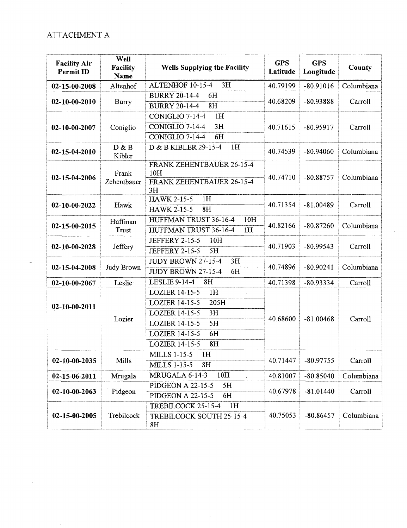## ATTACHMENT A

| <b>Facility Air</b><br>Permit ID | Well<br>Facility<br>Name | <b>Wells Supplying the Facility</b>                                                                                                                                        | <b>GPS</b><br>Latitude | <b>GPS</b><br>Longitude | County     |
|----------------------------------|--------------------------|----------------------------------------------------------------------------------------------------------------------------------------------------------------------------|------------------------|-------------------------|------------|
| 02-15-00-2008                    | Altenhof                 | ALTENHOF 10-15-4<br>3H                                                                                                                                                     | 40.79199               | $-80.91016$             | Columbiana |
| $02 - 10 - 00 - 2010$            | Burry                    | <b>BURRY 20-14-4</b><br>6H                                                                                                                                                 | 40.68209               | $-80.93888$             | Carroll    |
|                                  |                          | 8H<br><b>BURRY 20-14-4</b>                                                                                                                                                 |                        |                         |            |
| 02-10-00-2007                    | Coniglio                 | CONIGLIO 7-14-4<br>1H                                                                                                                                                      | 40.71615               | $-80.95917$             | Carroll    |
|                                  |                          | CONIGLIO 7-14-4<br>3H                                                                                                                                                      |                        |                         |            |
|                                  |                          | CONIGLIO 7-14-4<br>6H                                                                                                                                                      |                        |                         |            |
| $02 - 15 - 04 - 2010$            | D & B<br>Kibler          | 1H<br>D & B KIBLER 29-15-4                                                                                                                                                 | 40.74539               | $-80.94060$             | Columbiana |
| 02-15-04-2006                    | Frank<br>Zehentbauer     | FRANK ZEHENTBAUER 26-15-4<br>10H<br>FRANK ZEHENTBAUER 26-15-4<br>3H                                                                                                        | 40.74710               | $-80.88757$             | Columbiana |
| 02-10-00-2022                    | Hawk                     | <b>HAWK 2-15-5</b><br>1H<br><b>HAWK 2-15-5</b><br>8 <sub>H</sub>                                                                                                           | 40.71354               | $-81.00489$             | Carroll    |
| 02-15-00-2015                    | Huffman<br>Trust         | HUFFMAN TRUST 36-16-4<br>10H<br>HUFFMAN TRUST 36-16-4<br>1H                                                                                                                | 40.82166               | $-80.87260$             | Columbiana |
| $02 - 10 - 00 - 2028$            | Jeffery                  | <b>JEFFERY 2-15-5</b><br>10H<br><b>JEFFERY 2-15-5</b><br>5H                                                                                                                | 40.71903               | $-80.99543$             | Carroll    |
| $02 - 15 - 04 - 2008$            | Judy Brown               | JUDY BROWN 27-15-4<br>3H<br>JUDY BROWN 27-15-4<br>6H                                                                                                                       | 40.74896               | $-80.90241$             | Columbiana |
| 02-10-00-2067                    | Leslie                   | LESLIE 9-14-4<br>8H                                                                                                                                                        | 40.71398               | $-80.93334$             | Carroll    |
| $02 - 10 - 00 - 2011$            | Lozier                   | LOZIER 14-15-5<br>1H<br>205H<br><b>LOZIER 14-15-5</b><br>3H<br><b>LOZIER 14-15-5</b><br>5H<br>LOZIER 14-15-5<br>6H<br><b>LOZIER 14-15-5</b><br><b>LOZIER 14-15-5</b><br>8H | 40.68600               | $-81.00468$             | Carroll    |
| $02 - 10 - 00 - 2035$            | Mills                    | <b>MILLS 1-15-5</b><br>1H<br><b>MILLS 1-15-5</b><br>8H                                                                                                                     | 40.71447               | $-80.97755$             | Carroll    |
| 02-15-06-2011                    | Mrugala                  | MRUGALA 6-14-3<br>10H                                                                                                                                                      | 40.81007               | $-80.85040$             | Columbiana |
| $02 - 10 - 00 - 2063$            | Pidgeon                  | <b>PIDGEON A 22-15-5</b><br>5H<br><b>PIDGEON A 22-15-5</b><br>6H                                                                                                           | 40.67978               | $-81.01440$             | Carroll    |
| $02 - 15 - 00 - 2005$            | Trebilcock               | TREBILCOCK 25-15-4<br>1H<br>TREBILCOCK SOUTH 25-15-4<br>8H                                                                                                                 | 40.75053               | $-80.86457$             | Columbiana |